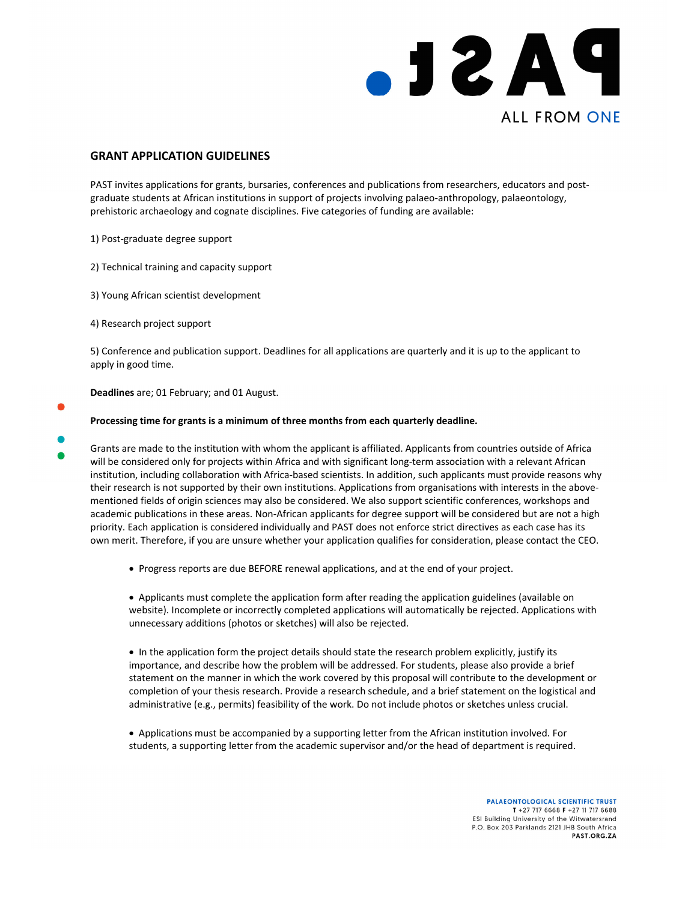

## **GRANT APPLICATION GUIDELINES**

PAST invites applications for grants, bursaries, conferences and publications from researchers, educators and postgraduate students at African institutions in support of projects involving palaeo‐anthropology, palaeontology, prehistoric archaeology and cognate disciplines. Five categories of funding are available:

- 1) Post‐graduate degree support
- 2) Technical training and capacity support
- 3) Young African scientist development
- 4) Research project support

5) Conference and publication support. Deadlines for all applications are quarterly and it is up to the applicant to apply in good time.

**Deadlines** are; 01 February; and 01 August.

## **Processing time for grants is a minimum of three months from each quarterly deadline.**

- Grants are made to the institution with whom the applicant is affiliated. Applicants from countries outside of Africa will be considered only for projects within Africa and with significant long-term association with a relevant African institution, including collaboration with Africa-based scientists. In addition, such applicants must provide reasons why their research is not supported by their own institutions. Applications from organisations with interests in the abovementioned fields of origin sciences may also be considered. We also support scientific conferences, workshops and academic publications in these areas. Non‐African applicants for degree support will be considered but are not a high priority. Each application is considered individually and PAST does not enforce strict directives as each case has its own merit. Therefore, if you are unsure whether your application qualifies for consideration, please contact the CEO.
	- Progress reports are due BEFORE renewal applications, and at the end of your project.

 Applicants must complete the application form after reading the application guidelines (available on website). Incomplete or incorrectly completed applications will automatically be rejected. Applications with unnecessary additions (photos or sketches) will also be rejected.

• In the application form the project details should state the research problem explicitly, justify its importance, and describe how the problem will be addressed. For students, please also provide a brief statement on the manner in which the work covered by this proposal will contribute to the development or completion of your thesis research. Provide a research schedule, and a brief statement on the logistical and administrative (e.g., permits) feasibility of the work. Do not include photos or sketches unless crucial.

 Applications must be accompanied by a supporting letter from the African institution involved. For students, a supporting letter from the academic supervisor and/or the head of department is required.

> PALAEONTOLOGICAL SCIENTIFIC TRUST T +27 717 6668 F +27 11 717 6688 **ESI Building University of the Witwatersrand** P.O. Box 203 Parklands 2121 JHB South Africa PAST.ORG.ZA